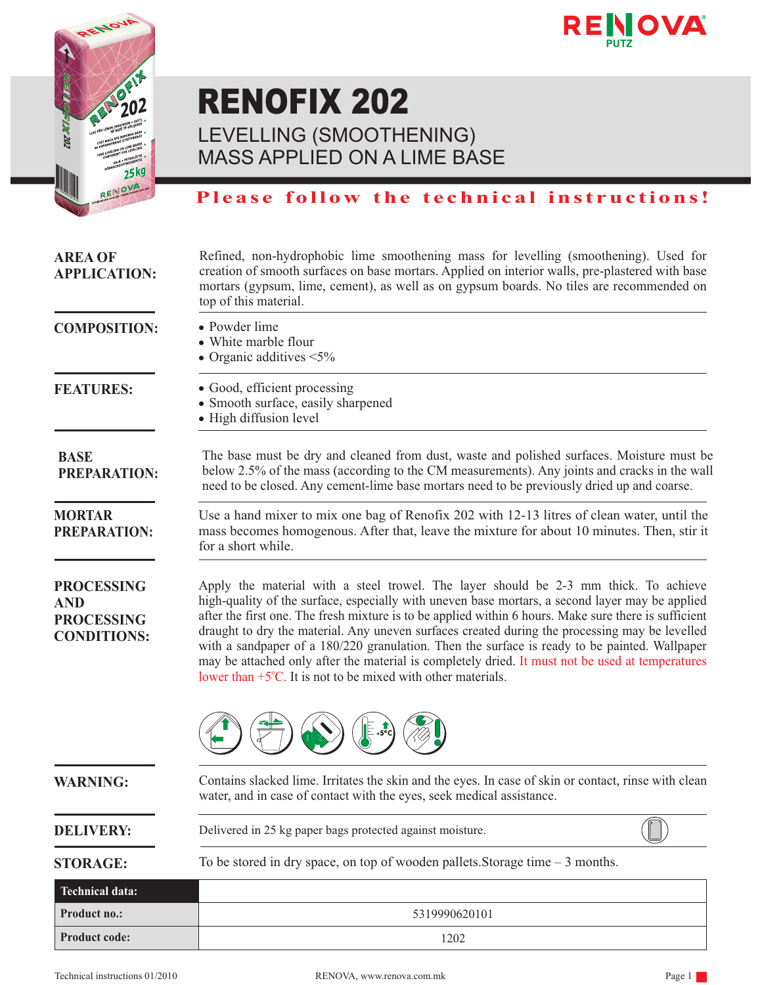



## RENOFIX 202

LEVELLING (SMOOTHENING) MASS APPLIED ON A LIME BASE

### **Please follow the technical instructions!**

| <b>AREA OF</b><br><b>APPLICATION:</b>                                      | Refined, non-hydrophobic lime smoothening mass for levelling (smoothening). Used for<br>creation of smooth surfaces on base mortars. Applied on interior walls, pre-plastered with base<br>mortars (gypsum, lime, cement), as well as on gypsum boards. No tiles are recommended on<br>top of this material.                                                                                                                                                                                                                                                                                                                                                                      |
|----------------------------------------------------------------------------|-----------------------------------------------------------------------------------------------------------------------------------------------------------------------------------------------------------------------------------------------------------------------------------------------------------------------------------------------------------------------------------------------------------------------------------------------------------------------------------------------------------------------------------------------------------------------------------------------------------------------------------------------------------------------------------|
| <b>COMPOSITION:</b>                                                        | • Powder lime<br>• White marble flour<br>• Organic additives $\leq 5\%$                                                                                                                                                                                                                                                                                                                                                                                                                                                                                                                                                                                                           |
| <b>FEATURES:</b>                                                           | • Good, efficient processing<br>• Smooth surface, easily sharpened<br>• High diffusion level                                                                                                                                                                                                                                                                                                                                                                                                                                                                                                                                                                                      |
| <b>BASE</b><br><b>PREPARATION:</b>                                         | The base must be dry and cleaned from dust, waste and polished surfaces. Moisture must be<br>below 2.5% of the mass (according to the CM measurements). Any joints and cracks in the wall<br>need to be closed. Any cement-lime base mortars need to be previously dried up and coarse.                                                                                                                                                                                                                                                                                                                                                                                           |
| <b>MORTAR</b><br><b>PREPARATION:</b>                                       | Use a hand mixer to mix one bag of Renofix 202 with 12-13 litres of clean water, until the<br>mass becomes homogenous. After that, leave the mixture for about 10 minutes. Then, stir it<br>for a short while.                                                                                                                                                                                                                                                                                                                                                                                                                                                                    |
| <b>PROCESSING</b><br><b>AND</b><br><b>PROCESSING</b><br><b>CONDITIONS:</b> | Apply the material with a steel trowel. The layer should be 2-3 mm thick. To achieve<br>high-quality of the surface, especially with uneven base mortars, a second layer may be applied<br>after the first one. The fresh mixture is to be applied within 6 hours. Make sure there is sufficient<br>draught to dry the material. Any uneven surfaces created during the processing may be levelled<br>with a sandpaper of a 180/220 granulation. Then the surface is ready to be painted. Wallpaper<br>may be attached only after the material is completely dried. It must not be used at temperatures<br>lower than $+5^{\circ}$ C. It is not to be mixed with other materials. |
|                                                                            |                                                                                                                                                                                                                                                                                                                                                                                                                                                                                                                                                                                                                                                                                   |
| <b>WARNING:</b>                                                            | Contains slacked lime. Irritates the skin and the eyes. In case of skin or contact, rinse with clean<br>water, and in case of contact with the eyes, seek medical assistance.                                                                                                                                                                                                                                                                                                                                                                                                                                                                                                     |
| <b>DELIVERY:</b>                                                           | Delivered in 25 kg paper bags protected against moisture.                                                                                                                                                                                                                                                                                                                                                                                                                                                                                                                                                                                                                         |
| <b>STORAGE:</b>                                                            | To be stored in dry space, on top of wooden pallets. Storage time $-3$ months.                                                                                                                                                                                                                                                                                                                                                                                                                                                                                                                                                                                                    |
| <b>Technical data:</b>                                                     |                                                                                                                                                                                                                                                                                                                                                                                                                                                                                                                                                                                                                                                                                   |
| Product no.:                                                               | 5319990620101                                                                                                                                                                                                                                                                                                                                                                                                                                                                                                                                                                                                                                                                     |
| Product code:                                                              | 1202                                                                                                                                                                                                                                                                                                                                                                                                                                                                                                                                                                                                                                                                              |